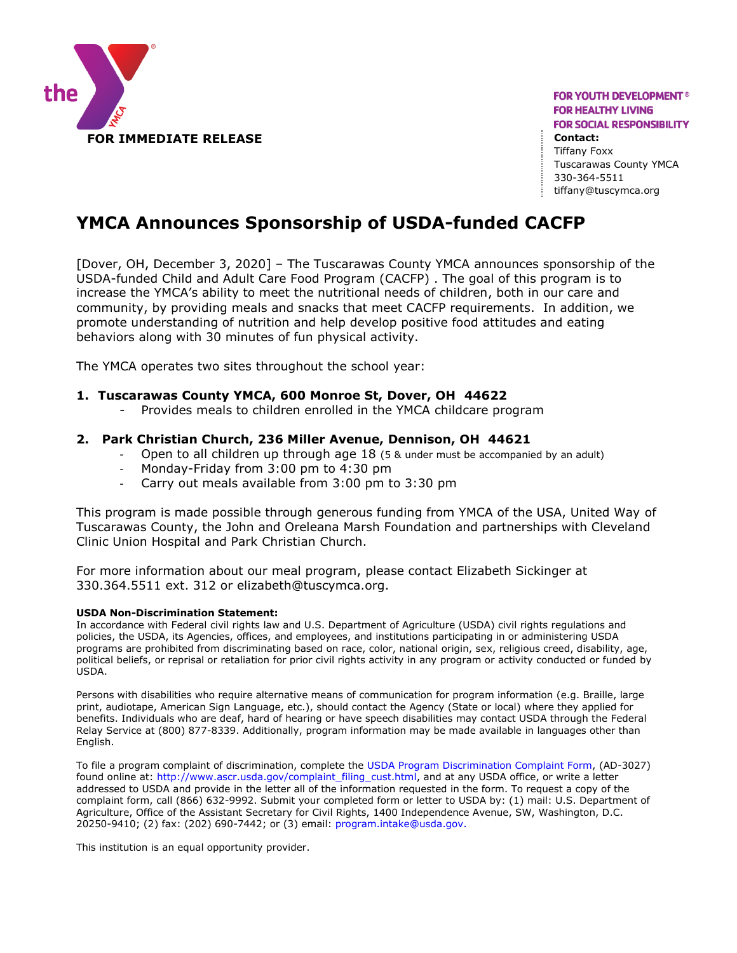

**FOR YOUTH DEVELOPMENT<sup>®</sup> FOR HEALTHY LIVING FOR SOCIAL RESPONSIBILITY** Tiffany Foxx Tuscarawas County YMCA 330-364-5511 tiffany@tuscymca.org

# **YMCA Announces Sponsorship of USDA-funded CACFP**

[Dover, OH, December 3, 2020] – The Tuscarawas County YMCA announces sponsorship of the USDA-funded Child and Adult Care Food Program (CACFP) . The goal of this program is to increase the YMCA's ability to meet the nutritional needs of children, both in our care and community, by providing meals and snacks that meet CACFP requirements. In addition, we promote understanding of nutrition and help develop positive food attitudes and eating behaviors along with 30 minutes of fun physical activity.

The YMCA operates two sites throughout the school year:

## **1. Tuscarawas County YMCA, 600 Monroe St, Dover, OH 44622**

- Provides meals to children enrolled in the YMCA childcare program

## **2. Park Christian Church, 236 Miller Avenue, Dennison, OH 44621**

- Open to all children up through age  $18$  (5 & under must be accompanied by an adult)
- Monday-Friday from 3:00 pm to 4:30 pm
- Carry out meals available from 3:00 pm to 3:30 pm

This program is made possible through generous funding from YMCA of the USA, United Way of Tuscarawas County, the John and Oreleana Marsh Foundation and partnerships with Cleveland Clinic Union Hospital and Park Christian Church.

For more information about our meal program, please contact Elizabeth Sickinger at 330.364.5511 ext. 312 or elizabeth@tuscymca.org.

#### **USDA Non-Discrimination Statement:**

In accordance with Federal civil rights law and U.S. Department of Agriculture (USDA) civil rights regulations and policies, the USDA, its Agencies, offices, and employees, and institutions participating in or administering USDA programs are prohibited from discriminating based on race, color, national origin, sex, religious creed, disability, age, political beliefs, or reprisal or retaliation for prior civil rights activity in any program or activity conducted or funded by USDA.

Persons with disabilities who require alternative means of communication for program information (e.g. Braille, large print, audiotape, American Sign Language, etc.), should contact the Agency (State or local) where they applied for benefits. Individuals who are deaf, hard of hearing or have speech disabilities may contact USDA through the Federal Relay Service at (800) 877-8339. Additionally, program information may be made available in languages other than English.

To file a program complaint of discrimination, complete the USDA Program Discrimination Complaint Form, (AD-3027) found online at: http://www.ascr.usda.gov/complaint\_filing\_cust.html, and at any USDA office, or write a letter addressed to USDA and provide in the letter all of the information requested in the form. To request a copy of the complaint form, call (866) 632-9992. Submit your completed form or letter to USDA by: (1) mail: U.S. Department of Agriculture, Office of the Assistant Secretary for Civil Rights, 1400 Independence Avenue, SW, Washington, D.C. 20250-9410; (2) fax: (202) 690-7442; or (3) email: program.intake@usda.gov.

This institution is an equal opportunity provider.